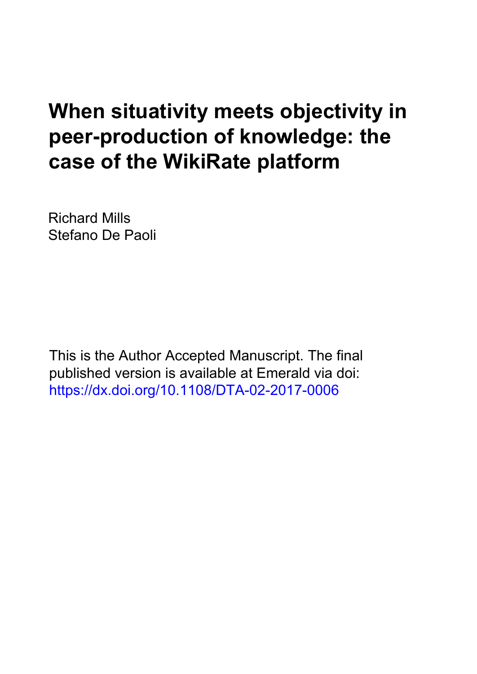# **When situativity meets objectivity in peer-production of knowledge: the case of the WikiRate platform**

Richard Mills Stefano De Paoli

This is the Author Accepted Manuscript. The final published version is available at Emerald via doi: https://dx.doi.org/[10.1108/DTA-02-2017-0006](https://dx.doi.org/10.1108/DTA-02-2017-0006)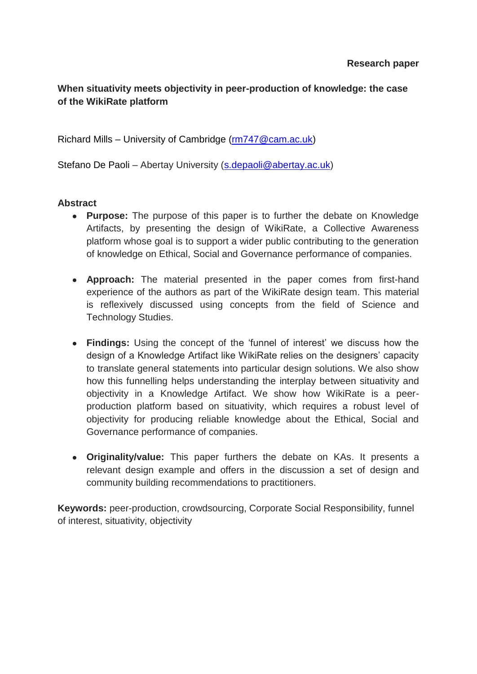**When situativity meets objectivity in peer-production of knowledge: the case of the WikiRate platform**

Richard Mills – University of Cambridge [\(rm747@cam.ac.uk\)](mailto:rm747@cam.ac.uk)

Stefano De Paoli – Abertay University [\(s.depaoli@abertay.ac.uk\)](mailto:s.depaoli@abertay.ac.uk)

#### **Abstract**

- **Purpose:** The purpose of this paper is to further the debate on Knowledge Artifacts, by presenting the design of WikiRate, a Collective Awareness platform whose goal is to support a wider public contributing to the generation of knowledge on Ethical, Social and Governance performance of companies.
- **Approach:** The material presented in the paper comes from first-hand experience of the authors as part of the WikiRate design team. This material is reflexively discussed using concepts from the field of Science and Technology Studies.
- **Findings:** Using the concept of the 'funnel of interest' we discuss how the design of a Knowledge Artifact like WikiRate relies on the designers' capacity to translate general statements into particular design solutions. We also show how this funnelling helps understanding the interplay between situativity and objectivity in a Knowledge Artifact. We show how WikiRate is a peerproduction platform based on situativity, which requires a robust level of objectivity for producing reliable knowledge about the Ethical, Social and Governance performance of companies.
- **Originality/value:** This paper furthers the debate on KAs. It presents a relevant design example and offers in the discussion a set of design and community building recommendations to practitioners.

**Keywords:** peer-production, crowdsourcing, Corporate Social Responsibility, funnel of interest, situativity, objectivity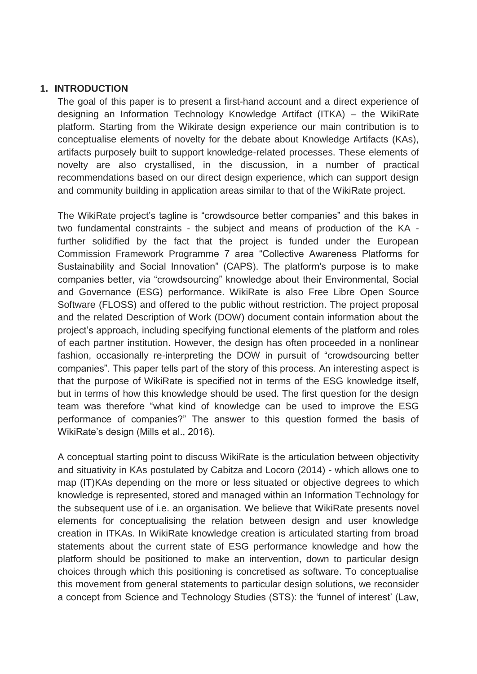## **1. INTRODUCTION**

The goal of this paper is to present a first-hand account and a direct experience of designing an Information Technology Knowledge Artifact (ITKA) – the WikiRate platform. Starting from the Wikirate design experience our main contribution is to conceptualise elements of novelty for the debate about Knowledge Artifacts (KAs), artifacts purposely built to support knowledge-related processes. These elements of novelty are also crystallised, in the discussion, in a number of practical recommendations based on our direct design experience, which can support design and community building in application areas similar to that of the WikiRate project.

The WikiRate project's tagline is "crowdsource better companies" and this bakes in two fundamental constraints - the subject and means of production of the KA further solidified by the fact that the project is funded under the European Commission Framework Programme 7 area "Collective Awareness Platforms for Sustainability and Social Innovation" (CAPS). The platform's purpose is to make companies better, via "crowdsourcing" knowledge about their Environmental, Social and Governance (ESG) performance. WikiRate is also Free Libre Open Source Software (FLOSS) and offered to the public without restriction. The project proposal and the related Description of Work (DOW) document contain information about the project's approach, including specifying functional elements of the platform and roles of each partner institution. However, the design has often proceeded in a nonlinear fashion, occasionally re-interpreting the DOW in pursuit of "crowdsourcing better companies". This paper tells part of the story of this process. An interesting aspect is that the purpose of WikiRate is specified not in terms of the ESG knowledge itself, but in terms of how this knowledge should be used. The first question for the design team was therefore "what kind of knowledge can be used to improve the ESG performance of companies?" The answer to this question formed the basis of WikiRate's design (Mills et al., 2016).

A conceptual starting point to discuss WikiRate is the articulation between objectivity and situativity in KAs postulated by Cabitza and Locoro (2014) - which allows one to map (IT)KAs depending on the more or less situated or objective degrees to which knowledge is represented, stored and managed within an Information Technology for the subsequent use of i.e. an organisation. We believe that WikiRate presents novel elements for conceptualising the relation between design and user knowledge creation in ITKAs. In WikiRate knowledge creation is articulated starting from broad statements about the current state of ESG performance knowledge and how the platform should be positioned to make an intervention, down to particular design choices through which this positioning is concretised as software. To conceptualise this movement from general statements to particular design solutions, we reconsider a concept from Science and Technology Studies (STS): the 'funnel of interest' (Law,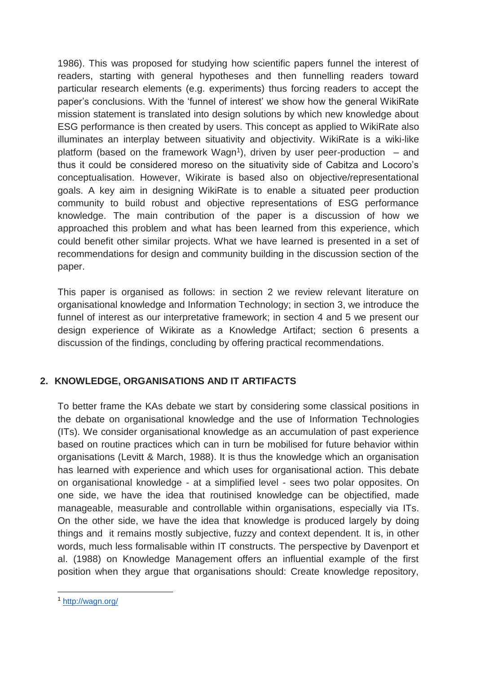1986). This was proposed for studying how scientific papers funnel the interest of readers, starting with general hypotheses and then funnelling readers toward particular research elements (e.g. experiments) thus forcing readers to accept the paper's conclusions. With the 'funnel of interest' we show how the general WikiRate mission statement is translated into design solutions by which new knowledge about ESG performance is then created by users. This concept as applied to WikiRate also illuminates an interplay between situativity and objectivity. WikiRate is a wiki-like platform (based on the framework Wagn<sup>1</sup>), driven by user peer-production  $-$  and thus it could be considered moreso on the situativity side of Cabitza and Locoro's conceptualisation. However, Wikirate is based also on objective/representational goals. A key aim in designing WikiRate is to enable a situated peer production community to build robust and objective representations of ESG performance knowledge. The main contribution of the paper is a discussion of how we approached this problem and what has been learned from this experience, which could benefit other similar projects. What we have learned is presented in a set of recommendations for design and community building in the discussion section of the paper.

This paper is organised as follows: in section 2 we review relevant literature on organisational knowledge and Information Technology; in section 3, we introduce the funnel of interest as our interpretative framework; in section 4 and 5 we present our design experience of Wikirate as a Knowledge Artifact; section 6 presents a discussion of the findings, concluding by offering practical recommendations.

# **2. KNOWLEDGE, ORGANISATIONS AND IT ARTIFACTS**

To better frame the KAs debate we start by considering some classical positions in the debate on organisational knowledge and the use of Information Technologies (ITs). We consider organisational knowledge as an accumulation of past experience based on routine practices which can in turn be mobilised for future behavior within organisations (Levitt & March, 1988). It is thus the knowledge which an organisation has learned with experience and which uses for organisational action. This debate on organisational knowledge - at a simplified level - sees two polar opposites. On one side, we have the idea that routinised knowledge can be objectified, made manageable, measurable and controllable within organisations, especially via ITs. On the other side, we have the idea that knowledge is produced largely by doing things and it remains mostly subjective, fuzzy and context dependent. It is, in other words, much less formalisable within IT constructs. The perspective by Davenport et al. (1988) on Knowledge Management offers an influential example of the first position when they argue that organisations should: Create knowledge repository,

-

<sup>1</sup> <http://wagn.org/>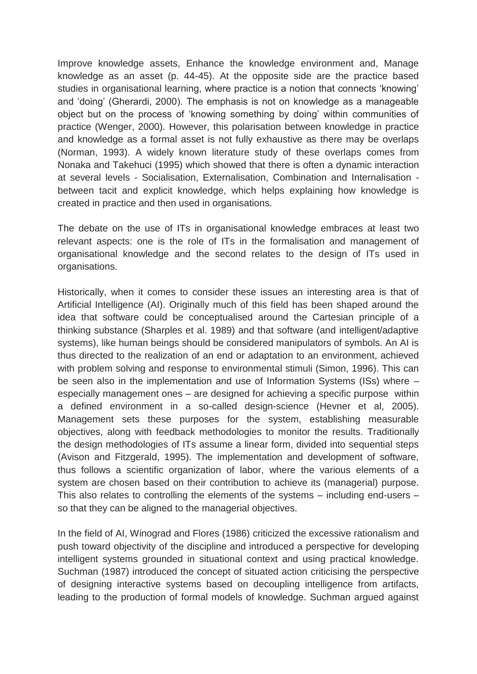Improve knowledge assets, Enhance the knowledge environment and, Manage knowledge as an asset (p. 44-45). At the opposite side are the practice based studies in organisational learning, where practice is a notion that connects 'knowing' and 'doing' (Gherardi, 2000). The emphasis is not on knowledge as a manageable object but on the process of 'knowing something by doing' within communities of practice (Wenger, 2000). However, this polarisation between knowledge in practice and knowledge as a formal asset is not fully exhaustive as there may be overlaps (Norman, 1993). A widely known literature study of these overlaps comes from Nonaka and Takehuci (1995) which showed that there is often a dynamic interaction at several levels - Socialisation, Externalisation, Combination and Internalisation between tacit and explicit knowledge, which helps explaining how knowledge is created in practice and then used in organisations.

The debate on the use of ITs in organisational knowledge embraces at least two relevant aspects: one is the role of ITs in the formalisation and management of organisational knowledge and the second relates to the design of ITs used in organisations.

Historically, when it comes to consider these issues an interesting area is that of Artificial Intelligence (AI). Originally much of this field has been shaped around the idea that software could be conceptualised around the Cartesian principle of a thinking substance (Sharples et al. 1989) and that software (and intelligent/adaptive systems), like human beings should be considered manipulators of symbols. An AI is thus directed to the realization of an end or adaptation to an environment, achieved with problem solving and response to environmental stimuli (Simon, 1996). This can be seen also in the implementation and use of Information Systems (ISs) where – especially management ones – are designed for achieving a specific purpose within a defined environment in a so-called design-science (Hevner et al, 2005). Management sets these purposes for the system, establishing measurable objectives, along with feedback methodologies to monitor the results. Traditionally the design methodologies of ITs assume a linear form, divided into sequential steps (Avison and Fitzgerald, 1995). The implementation and development of software, thus follows a scientific organization of labor, where the various elements of a system are chosen based on their contribution to achieve its (managerial) purpose. This also relates to controlling the elements of the systems – including end-users – so that they can be aligned to the managerial objectives.

In the field of AI, Winograd and Flores (1986) criticized the excessive rationalism and push toward objectivity of the discipline and introduced a perspective for developing intelligent systems grounded in situational context and using practical knowledge. Suchman (1987) introduced the concept of situated action criticising the perspective of designing interactive systems based on decoupling intelligence from artifacts, leading to the production of formal models of knowledge. Suchman argued against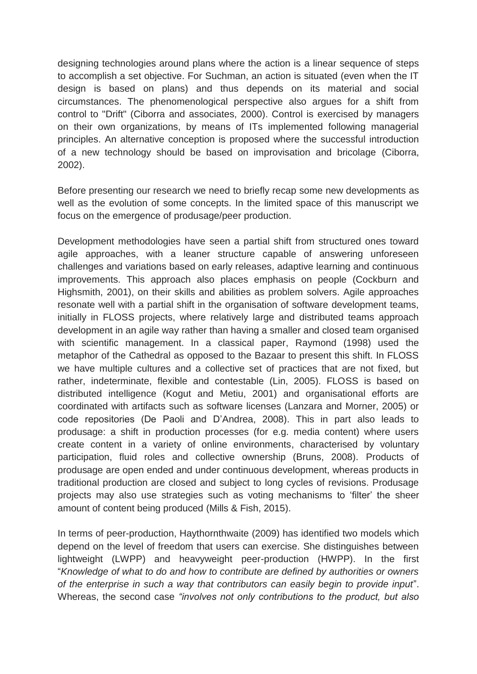designing technologies around plans where the action is a linear sequence of steps to accomplish a set objective. For Suchman, an action is situated (even when the IT design is based on plans) and thus depends on its material and social circumstances. The phenomenological perspective also argues for a shift from control to "Drift" (Ciborra and associates, 2000). Control is exercised by managers on their own organizations, by means of ITs implemented following managerial principles. An alternative conception is proposed where the successful introduction of a new technology should be based on improvisation and bricolage (Ciborra, 2002).

Before presenting our research we need to briefly recap some new developments as well as the evolution of some concepts. In the limited space of this manuscript we focus on the emergence of produsage/peer production.

Development methodologies have seen a partial shift from structured ones toward agile approaches, with a leaner structure capable of answering unforeseen challenges and variations based on early releases, adaptive learning and continuous improvements. This approach also places emphasis on people (Cockburn and Highsmith, 2001), on their skills and abilities as problem solvers. Agile approaches resonate well with a partial shift in the organisation of software development teams, initially in FLOSS projects, where relatively large and distributed teams approach development in an agile way rather than having a smaller and closed team organised with scientific management. In a classical paper, Raymond (1998) used the metaphor of the Cathedral as opposed to the Bazaar to present this shift. In FLOSS we have multiple cultures and a collective set of practices that are not fixed, but rather, indeterminate, flexible and contestable (Lin, 2005). FLOSS is based on distributed intelligence (Kogut and Metiu, 2001) and organisational efforts are coordinated with artifacts such as software licenses (Lanzara and Morner, 2005) or code repositories (De Paoli and D'Andrea, 2008). This in part also leads to produsage: a shift in production processes (for e.g. media content) where users create content in a variety of online environments, characterised by voluntary participation, fluid roles and collective ownership (Bruns, 2008). Products of produsage are open ended and under continuous development, whereas products in traditional production are closed and subject to long cycles of revisions. Produsage projects may also use strategies such as voting mechanisms to 'filter' the sheer amount of content being produced (Mills & Fish, 2015).

In terms of peer-production, Haythornthwaite (2009) has identified two models which depend on the level of freedom that users can exercise. She distinguishes between lightweight (LWPP) and heavyweight peer-production (HWPP). In the first "*Knowledge of what to do and how to contribute are defined by authorities or owners of the enterprise in such a way that contributors can easily begin to provide input*". Whereas, the second case *"involves not only contributions to the product, but also*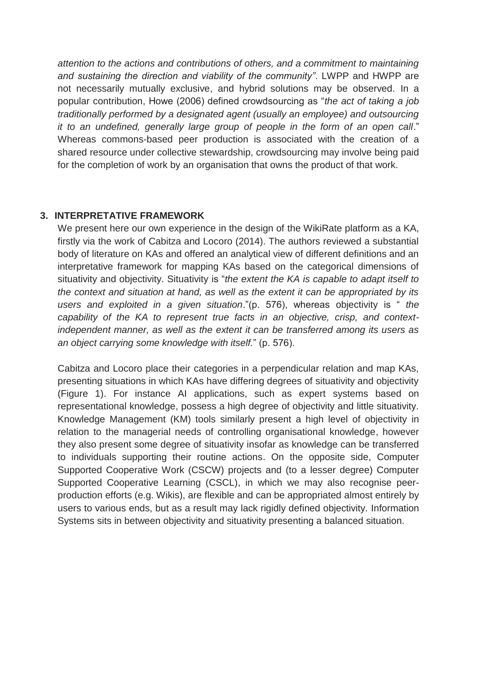*attention to the actions and contributions of others, and a commitment to maintaining and sustaining the direction and viability of the community"*. LWPP and HWPP are not necessarily mutually exclusive, and hybrid solutions may be observed. In a popular contribution, Howe (2006) defined crowdsourcing as "*the act of taking a job traditionally performed by a designated agent (usually an employee) and outsourcing it to an undefined, generally large group of people in the form of an open call*." Whereas commons-based peer production is associated with the creation of a shared resource under collective stewardship, crowdsourcing may involve being paid for the completion of work by an organisation that owns the product of that work.

## **3. INTERPRETATIVE FRAMEWORK**

We present here our own experience in the design of the WikiRate platform as a KA, firstly via the work of Cabitza and Locoro (2014). The authors reviewed a substantial body of literature on KAs and offered an analytical view of different definitions and an interpretative framework for mapping KAs based on the categorical dimensions of situativity and objectivity. Situativity is "*the extent the KA is capable to adapt itself to the context and situation at hand, as well as the extent it can be appropriated by its users and exploited in a given situation*."(p. 576), whereas objectivity is " *the capability of the KA to represent true facts in an objective, crisp, and contextindependent manner, as well as the extent it can be transferred among its users as an object carrying some knowledge with itself.*" (p. 576).

Cabitza and Locoro place their categories in a perpendicular relation and map KAs, presenting situations in which KAs have differing degrees of situativity and objectivity (Figure 1). For instance AI applications, such as expert systems based on representational knowledge, possess a high degree of objectivity and little situativity. Knowledge Management (KM) tools similarly present a high level of objectivity in relation to the managerial needs of controlling organisational knowledge, however they also present some degree of situativity insofar as knowledge can be transferred to individuals supporting their routine actions. On the opposite side, Computer Supported Cooperative Work (CSCW) projects and (to a lesser degree) Computer Supported Cooperative Learning (CSCL), in which we may also recognise peerproduction efforts (e.g. Wikis), are flexible and can be appropriated almost entirely by users to various ends, but as a result may lack rigidly defined objectivity. Information Systems sits in between objectivity and situativity presenting a balanced situation.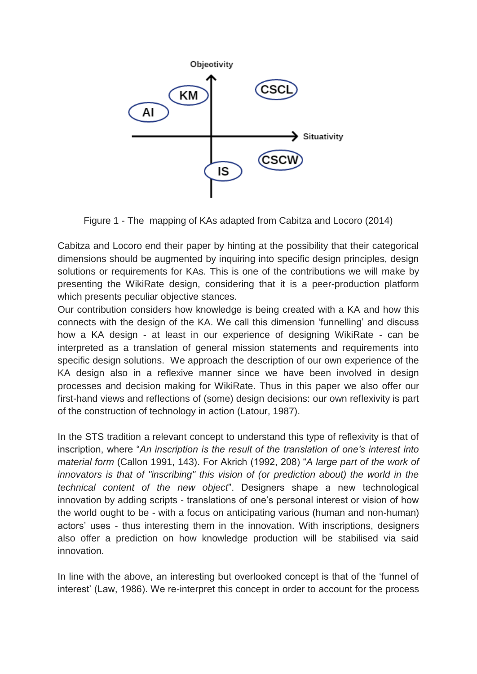

Figure 1 - The mapping of KAs adapted from Cabitza and Locoro (2014)

Cabitza and Locoro end their paper by hinting at the possibility that their categorical dimensions should be augmented by inquiring into specific design principles, design solutions or requirements for KAs. This is one of the contributions we will make by presenting the WikiRate design, considering that it is a peer-production platform which presents peculiar objective stances.

Our contribution considers how knowledge is being created with a KA and how this connects with the design of the KA. We call this dimension 'funnelling' and discuss how a KA design - at least in our experience of designing WikiRate - can be interpreted as a translation of general mission statements and requirements into specific design solutions. We approach the description of our own experience of the KA design also in a reflexive manner since we have been involved in design processes and decision making for WikiRate. Thus in this paper we also offer our first-hand views and reflections of (some) design decisions: our own reflexivity is part of the construction of technology in action (Latour, 1987).

In the STS tradition a relevant concept to understand this type of reflexivity is that of inscription, where "*An inscription is the result of the translation of one's interest into material form* (Callon 1991, 143). For Akrich (1992, 208) "*A large part of the work of innovators is that of "inscribing" this vision of (or prediction about) the world in the technical content of the new object*". Designers shape a new technological innovation by adding scripts - translations of one's personal interest or vision of how the world ought to be - with a focus on anticipating various (human and non-human) actors' uses - thus interesting them in the innovation. With inscriptions, designers also offer a prediction on how knowledge production will be stabilised via said innovation.

In line with the above, an interesting but overlooked concept is that of the 'funnel of interest' (Law, 1986). We re-interpret this concept in order to account for the process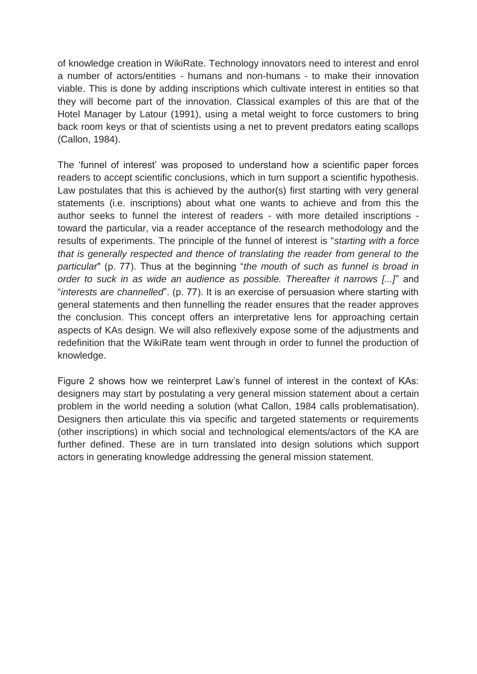of knowledge creation in WikiRate. Technology innovators need to interest and enrol a number of actors/entities - humans and non-humans - to make their innovation viable. This is done by adding inscriptions which cultivate interest in entities so that they will become part of the innovation. Classical examples of this are that of the Hotel Manager by Latour (1991), using a metal weight to force customers to bring back room keys or that of scientists using a net to prevent predators eating scallops (Callon, 1984).

The 'funnel of interest' was proposed to understand how a scientific paper forces readers to accept scientific conclusions, which in turn support a scientific hypothesis. Law postulates that this is achieved by the author(s) first starting with very general statements (i.e. inscriptions) about what one wants to achieve and from this the author seeks to funnel the interest of readers - with more detailed inscriptions toward the particular, via a reader acceptance of the research methodology and the results of experiments. The principle of the funnel of interest is "*starting with a force that is generally respected and thence of translating the reader from general to the particula*r" (p. 77). Thus at the beginning "*the mouth of such as funnel is broad in order to suck in as wide an audience as possible. Thereafter it narrows [...]*" and "*interests are channelled*". (p. 77). It is an exercise of persuasion where starting with general statements and then funnelling the reader ensures that the reader approves the conclusion. This concept offers an interpretative lens for approaching certain aspects of KAs design. We will also reflexively expose some of the adjustments and redefinition that the WikiRate team went through in order to funnel the production of knowledge.

Figure 2 shows how we reinterpret Law's funnel of interest in the context of KAs: designers may start by postulating a very general mission statement about a certain problem in the world needing a solution (what Callon, 1984 calls problematisation). Designers then articulate this via specific and targeted statements or requirements (other inscriptions) in which social and technological elements/actors of the KA are further defined. These are in turn translated into design solutions which support actors in generating knowledge addressing the general mission statement.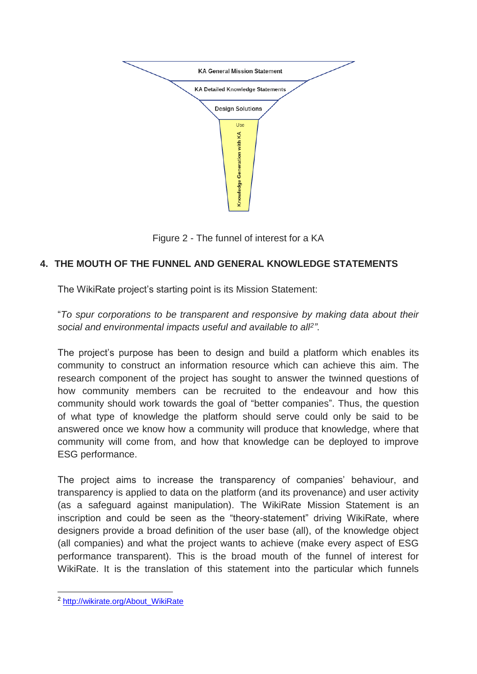

Figure 2 - The funnel of interest for a KA

## **4. THE MOUTH OF THE FUNNEL AND GENERAL KNOWLEDGE STATEMENTS**

The WikiRate project's starting point is its Mission Statement:

"*To spur corporations to be transparent and responsive by making data about their social and environmental impacts useful and available to all<sup>2</sup> "*.

The project's purpose has been to design and build a platform which enables its community to construct an information resource which can achieve this aim. The research component of the project has sought to answer the twinned questions of how community members can be recruited to the endeavour and how this community should work towards the goal of "better companies". Thus, the question of what type of knowledge the platform should serve could only be said to be answered once we know how a community will produce that knowledge, where that community will come from, and how that knowledge can be deployed to improve ESG performance.

The project aims to increase the transparency of companies' behaviour, and transparency is applied to data on the platform (and its provenance) and user activity (as a safeguard against manipulation). The WikiRate Mission Statement is an inscription and could be seen as the "theory-statement" driving WikiRate, where designers provide a broad definition of the user base (all), of the knowledge object (all companies) and what the project wants to achieve (make every aspect of ESG performance transparent). This is the broad mouth of the funnel of interest for WikiRate. It is the translation of this statement into the particular which funnels

-

<sup>2</sup> [http://wikirate.org/About\\_WikiRate](http://wikirate.org/About_WikiRate)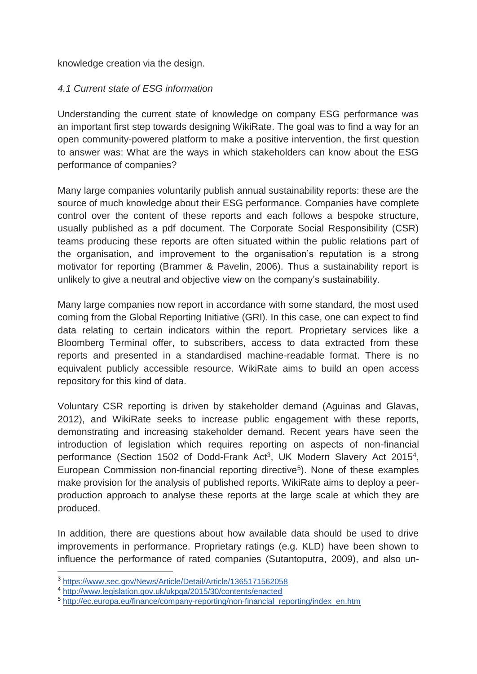knowledge creation via the design.

## *4.1 Current state of ESG information*

Understanding the current state of knowledge on company ESG performance was an important first step towards designing WikiRate. The goal was to find a way for an open community-powered platform to make a positive intervention, the first question to answer was: What are the ways in which stakeholders can know about the ESG performance of companies?

Many large companies voluntarily publish annual sustainability reports: these are the source of much knowledge about their ESG performance. Companies have complete control over the content of these reports and each follows a bespoke structure, usually published as a pdf document. The Corporate Social Responsibility (CSR) teams producing these reports are often situated within the public relations part of the organisation, and improvement to the organisation's reputation is a strong motivator for reporting (Brammer & Pavelin, 2006). Thus a sustainability report is unlikely to give a neutral and objective view on the company's sustainability.

Many large companies now report in accordance with some standard, the most used coming from the Global Reporting Initiative (GRI). In this case, one can expect to find data relating to certain indicators within the report. Proprietary services like a Bloomberg Terminal offer, to subscribers, access to data extracted from these reports and presented in a standardised machine-readable format. There is no equivalent publicly accessible resource. WikiRate aims to build an open access repository for this kind of data.

Voluntary CSR reporting is driven by stakeholder demand (Aguinas and Glavas, 2012), and WikiRate seeks to increase public engagement with these reports, demonstrating and increasing stakeholder demand. Recent years have seen the introduction of legislation which requires reporting on aspects of non-financial performance (Section 1502 of Dodd-Frank Act<sup>3</sup>, UK Modern Slavery Act 2015<sup>4</sup>, European Commission non-financial reporting directive<sup>5</sup>). None of these examples make provision for the analysis of published reports. WikiRate aims to deploy a peerproduction approach to analyse these reports at the large scale at which they are produced.

In addition, there are questions about how available data should be used to drive improvements in performance. Proprietary ratings (e.g. KLD) have been shown to influence the performance of rated companies (Sutantoputra, 2009), and also un-

-

<sup>3</sup> <https://www.sec.gov/News/Article/Detail/Article/1365171562058>

<sup>4</sup> <http://www.legislation.gov.uk/ukpga/2015/30/contents/enacted>

<sup>5</sup> [http://ec.europa.eu/finance/company-reporting/non-financial\\_reporting/index\\_en.htm](http://ec.europa.eu/finance/company-reporting/non-financial_reporting/index_en.htm)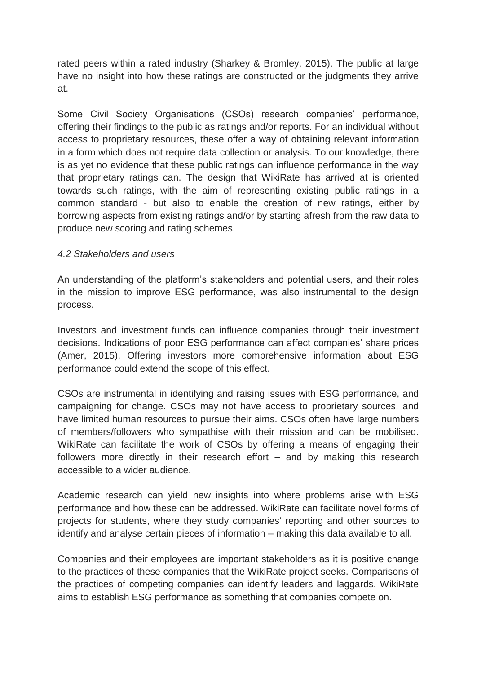rated peers within a rated industry (Sharkey & Bromley, 2015). The public at large have no insight into how these ratings are constructed or the judgments they arrive at.

Some Civil Society Organisations (CSOs) research companies' performance, offering their findings to the public as ratings and/or reports. For an individual without access to proprietary resources, these offer a way of obtaining relevant information in a form which does not require data collection or analysis. To our knowledge, there is as yet no evidence that these public ratings can influence performance in the way that proprietary ratings can. The design that WikiRate has arrived at is oriented towards such ratings, with the aim of representing existing public ratings in a common standard - but also to enable the creation of new ratings, either by borrowing aspects from existing ratings and/or by starting afresh from the raw data to produce new scoring and rating schemes.

## *4.2 Stakeholders and users*

An understanding of the platform's stakeholders and potential users, and their roles in the mission to improve ESG performance, was also instrumental to the design process.

Investors and investment funds can influence companies through their investment decisions. Indications of poor ESG performance can affect companies' share prices (Amer, 2015). Offering investors more comprehensive information about ESG performance could extend the scope of this effect.

CSOs are instrumental in identifying and raising issues with ESG performance, and campaigning for change. CSOs may not have access to proprietary sources, and have limited human resources to pursue their aims. CSOs often have large numbers of members/followers who sympathise with their mission and can be mobilised. WikiRate can facilitate the work of CSOs by offering a means of engaging their followers more directly in their research effort – and by making this research accessible to a wider audience.

Academic research can yield new insights into where problems arise with ESG performance and how these can be addressed. WikiRate can facilitate novel forms of projects for students, where they study companies' reporting and other sources to identify and analyse certain pieces of information – making this data available to all.

Companies and their employees are important stakeholders as it is positive change to the practices of these companies that the WikiRate project seeks. Comparisons of the practices of competing companies can identify leaders and laggards. WikiRate aims to establish ESG performance as something that companies compete on.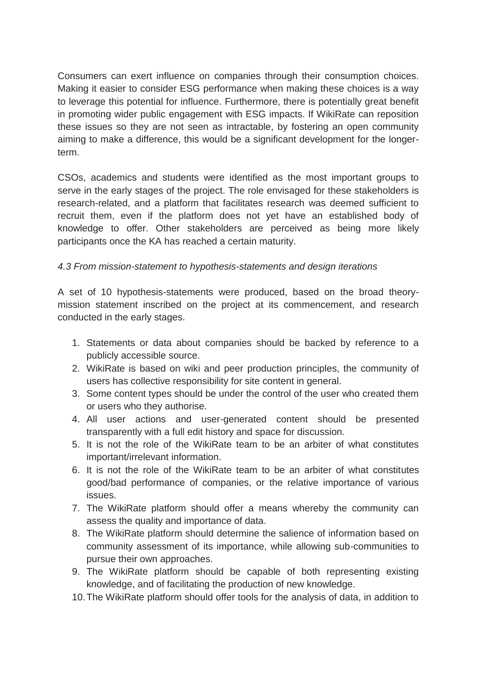Consumers can exert influence on companies through their consumption choices. Making it easier to consider ESG performance when making these choices is a way to leverage this potential for influence. Furthermore, there is potentially great benefit in promoting wider public engagement with ESG impacts. If WikiRate can reposition these issues so they are not seen as intractable, by fostering an open community aiming to make a difference, this would be a significant development for the longerterm.

CSOs, academics and students were identified as the most important groups to serve in the early stages of the project. The role envisaged for these stakeholders is research-related, and a platform that facilitates research was deemed sufficient to recruit them, even if the platform does not yet have an established body of knowledge to offer. Other stakeholders are perceived as being more likely participants once the KA has reached a certain maturity.

## *4.3 From mission-statement to hypothesis-statements and design iterations*

A set of 10 hypothesis-statements were produced, based on the broad theorymission statement inscribed on the project at its commencement, and research conducted in the early stages.

- 1. Statements or data about companies should be backed by reference to a publicly accessible source.
- 2. WikiRate is based on wiki and peer production principles, the community of users has collective responsibility for site content in general.
- 3. Some content types should be under the control of the user who created them or users who they authorise.
- 4. All user actions and user-generated content should be presented transparently with a full edit history and space for discussion.
- 5. It is not the role of the WikiRate team to be an arbiter of what constitutes important/irrelevant information.
- 6. It is not the role of the WikiRate team to be an arbiter of what constitutes good/bad performance of companies, or the relative importance of various issues.
- 7. The WikiRate platform should offer a means whereby the community can assess the quality and importance of data.
- 8. The WikiRate platform should determine the salience of information based on community assessment of its importance, while allowing sub-communities to pursue their own approaches.
- 9. The WikiRate platform should be capable of both representing existing knowledge, and of facilitating the production of new knowledge.
- 10.The WikiRate platform should offer tools for the analysis of data, in addition to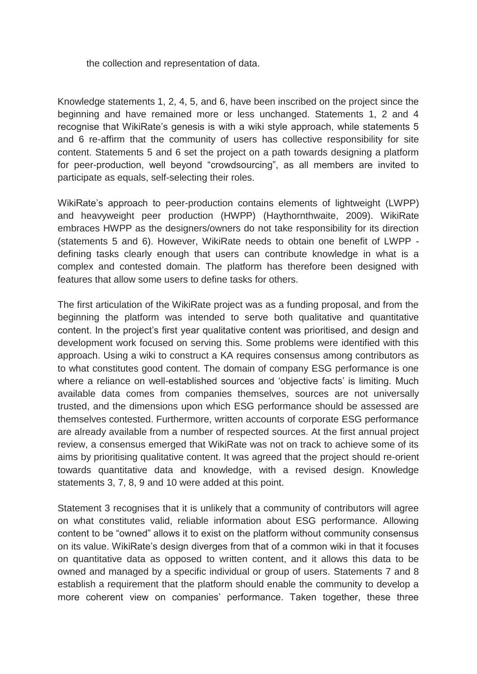the collection and representation of data.

Knowledge statements 1, 2, 4, 5, and 6, have been inscribed on the project since the beginning and have remained more or less unchanged. Statements 1, 2 and 4 recognise that WikiRate's genesis is with a wiki style approach, while statements 5 and 6 re-affirm that the community of users has collective responsibility for site content. Statements 5 and 6 set the project on a path towards designing a platform for peer-production, well beyond "crowdsourcing", as all members are invited to participate as equals, self-selecting their roles.

WikiRate's approach to peer-production contains elements of lightweight (LWPP) and heavyweight peer production (HWPP) (Haythornthwaite, 2009). WikiRate embraces HWPP as the designers/owners do not take responsibility for its direction (statements 5 and 6). However, WikiRate needs to obtain one benefit of LWPP defining tasks clearly enough that users can contribute knowledge in what is a complex and contested domain. The platform has therefore been designed with features that allow some users to define tasks for others.

The first articulation of the WikiRate project was as a funding proposal, and from the beginning the platform was intended to serve both qualitative and quantitative content. In the project's first year qualitative content was prioritised, and design and development work focused on serving this. Some problems were identified with this approach. Using a wiki to construct a KA requires consensus among contributors as to what constitutes good content. The domain of company ESG performance is one where a reliance on well-established sources and 'objective facts' is limiting. Much available data comes from companies themselves, sources are not universally trusted, and the dimensions upon which ESG performance should be assessed are themselves contested. Furthermore, written accounts of corporate ESG performance are already available from a number of respected sources. At the first annual project review, a consensus emerged that WikiRate was not on track to achieve some of its aims by prioritising qualitative content. It was agreed that the project should re-orient towards quantitative data and knowledge, with a revised design. Knowledge statements 3, 7, 8, 9 and 10 were added at this point.

Statement 3 recognises that it is unlikely that a community of contributors will agree on what constitutes valid, reliable information about ESG performance. Allowing content to be "owned" allows it to exist on the platform without community consensus on its value. WikiRate's design diverges from that of a common wiki in that it focuses on quantitative data as opposed to written content, and it allows this data to be owned and managed by a specific individual or group of users. Statements 7 and 8 establish a requirement that the platform should enable the community to develop a more coherent view on companies' performance. Taken together, these three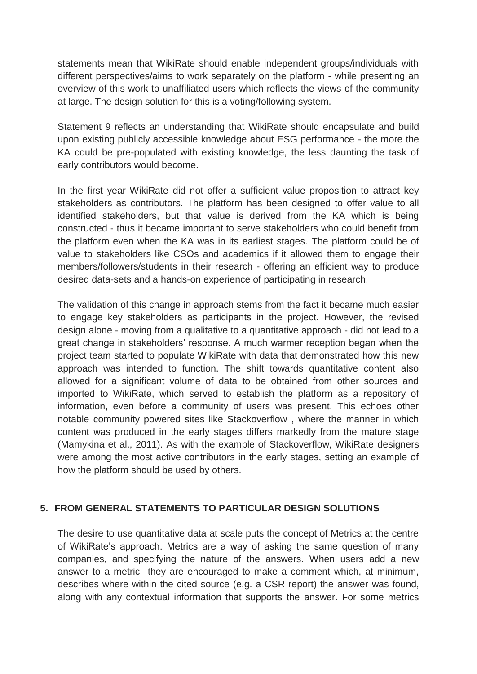statements mean that WikiRate should enable independent groups/individuals with different perspectives/aims to work separately on the platform - while presenting an overview of this work to unaffiliated users which reflects the views of the community at large. The design solution for this is a voting/following system.

Statement 9 reflects an understanding that WikiRate should encapsulate and build upon existing publicly accessible knowledge about ESG performance - the more the KA could be pre-populated with existing knowledge, the less daunting the task of early contributors would become.

In the first year WikiRate did not offer a sufficient value proposition to attract key stakeholders as contributors. The platform has been designed to offer value to all identified stakeholders, but that value is derived from the KA which is being constructed - thus it became important to serve stakeholders who could benefit from the platform even when the KA was in its earliest stages. The platform could be of value to stakeholders like CSOs and academics if it allowed them to engage their members/followers/students in their research - offering an efficient way to produce desired data-sets and a hands-on experience of participating in research.

The validation of this change in approach stems from the fact it became much easier to engage key stakeholders as participants in the project. However, the revised design alone - moving from a qualitative to a quantitative approach - did not lead to a great change in stakeholders' response. A much warmer reception began when the project team started to populate WikiRate with data that demonstrated how this new approach was intended to function. The shift towards quantitative content also allowed for a significant volume of data to be obtained from other sources and imported to WikiRate, which served to establish the platform as a repository of information, even before a community of users was present. This echoes other notable community powered sites like Stackoverflow , where the manner in which content was produced in the early stages differs markedly from the mature stage (Mamykina et al., 2011). As with the example of Stackoverflow, WikiRate designers were among the most active contributors in the early stages, setting an example of how the platform should be used by others.

## **5. FROM GENERAL STATEMENTS TO PARTICULAR DESIGN SOLUTIONS**

The desire to use quantitative data at scale puts the concept of Metrics at the centre of WikiRate's approach. Metrics are a way of asking the same question of many companies, and specifying the nature of the answers. When users add a new answer to a metric they are encouraged to make a comment which, at minimum, describes where within the cited source (e.g. a CSR report) the answer was found, along with any contextual information that supports the answer. For some metrics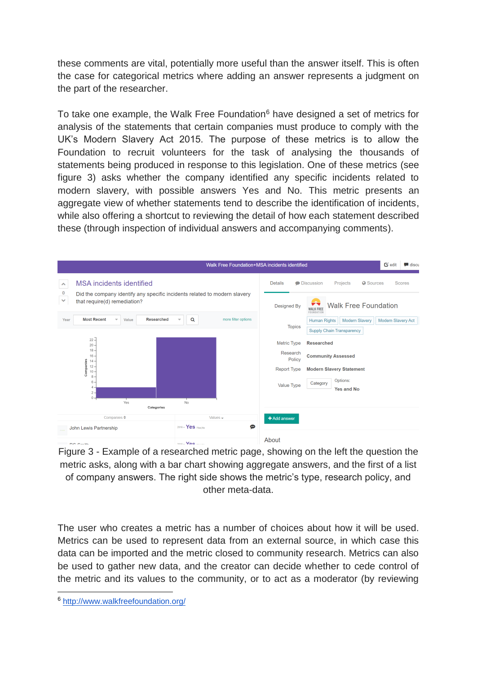these comments are vital, potentially more useful than the answer itself. This is often the case for categorical metrics where adding an answer represents a judgment on the part of the researcher.

To take one example, the Walk Free Foundation<sup>6</sup> have designed a set of metrics for analysis of the statements that certain companies must produce to comply with the UK's Modern Slavery Act 2015. The purpose of these metrics is to allow the Foundation to recruit volunteers for the task of analysing the thousands of statements being produced in response to this legislation. One of these metrics (see figure 3) asks whether the company identified any specific incidents related to modern slavery, with possible answers Yes and No. This metric presents an aggregate view of whether statements tend to describe the identification of incidents, while also offering a shortcut to reviewing the detail of how each statement described these (through inspection of individual answers and accompanying comments).



Figure 3 - Example of a researched metric page, showing on the left the question the metric asks, along with a bar chart showing aggregate answers, and the first of a list of company answers. The right side shows the metric's type, research policy, and other meta-data.

The user who creates a metric has a number of choices about how it will be used. Metrics can be used to represent data from an external source, in which case this data can be imported and the metric closed to community research. Metrics can also be used to gather new data, and the creator can decide whether to cede control of the metric and its values to the community, or to act as a moderator (by reviewing

-

<sup>6</sup> <http://www.walkfreefoundation.org/>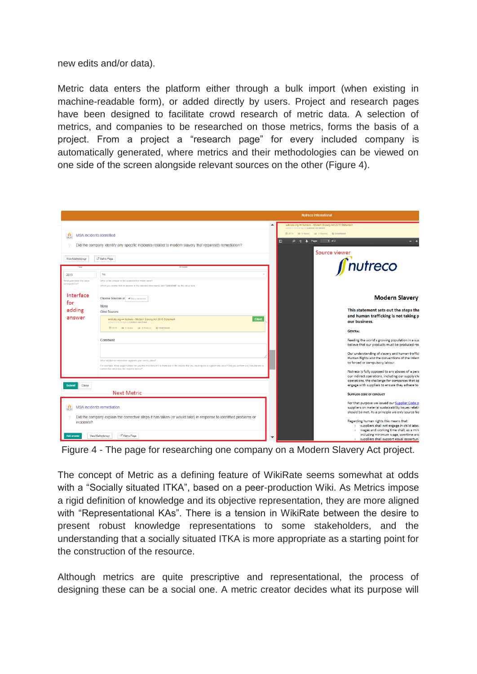new edits and/or data).

Metric data enters the platform either through a bulk import (when existing in machine-readable form), or added directly by users. Project and research pages have been designed to facilitate crowd research of metric data. A selection of metrics, and companies to be researched on those metrics, forms the basis of a project. From a project a "research page" for every included company is automatically generated, where metrics and their methodologies can be viewed on one side of the screen alongside relevant sources on the other (Figure 4).

|                                                                                                                                                                               |                                                                                                                                                                                                                                                                               | <b>Nutreco International</b>                                                                                                                                                                                                                                                                    |
|-------------------------------------------------------------------------------------------------------------------------------------------------------------------------------|-------------------------------------------------------------------------------------------------------------------------------------------------------------------------------------------------------------------------------------------------------------------------------|-------------------------------------------------------------------------------------------------------------------------------------------------------------------------------------------------------------------------------------------------------------------------------------------------|
| $\Omega$<br><b>MSA incidents identified</b><br>Did the company identify any specific incidents related to modern slavery that require(d) remediation?                         |                                                                                                                                                                                                                                                                               | wikirate.org -> Nutreco - Modern Slavery Act 2015 Statement<br>▲<br>added 3 months ago by Laureen van Breen<br>前 2015 56 0 Notes   M 0 Metrics ■ Download<br>$1$ of $2$<br>ı<br>Page:<br>m                                                                                                      |
| View Methodology<br><b>Par</b><br>2015                                                                                                                                        | E Metric Page<br>Answer<br>No                                                                                                                                                                                                                                                 | Source viewer<br>nutreco                                                                                                                                                                                                                                                                        |
| What year does this value<br>correspond to?<br>Interface<br>for<br>adding<br>answer                                                                                           | What is the answer to the question this metric asks?<br>When you cannot find an answer in the relevant documents, add "URKnown" as the value here.<br>Choose Sources or M Add a new source<br>None<br><b>Cited Sources</b><br>Cited!                                          | <b>Modern Slavery</b><br>This statement sets out the steps tha<br>and human trafficking is not taking p                                                                                                                                                                                         |
|                                                                                                                                                                               | wikirate.org → Nutreco - Modern Slavery Act 2015 Statement<br>added 3 months ago by Laureen van Breen<br>Comment                                                                                                                                                              | our business.<br><b>GENERAL</b><br>Feeding the world's growing population in a sus<br>believe that our products must be produced res                                                                                                                                                            |
|                                                                                                                                                                               | What additional information supports your metric value?<br>For example: What page number did you find this data on? Is there text in the source that you could quote to support the value? Did you perform any calculations to<br>convert the value into the required format? | Our understanding of slavery and human traffic<br>Human Rights and the conventions of the Interr<br>to forced or compulsory labour.<br>Nutreco is fully opposed to any abuses of a pers<br>our indirect operations, including our supply cha<br>operations, the challenge for companies that op |
| Close<br>Submit                                                                                                                                                               | <b>Next Metric</b>                                                                                                                                                                                                                                                            | engage with suppliers to ensure they adhere to<br><b>SUPPLIER CODE OF CONDUCT</b>                                                                                                                                                                                                               |
| $\Omega$<br><b>MSA</b> incidents remediation<br>Did the company explain the corrective steps it has taken (or would take) in response to identified problems or<br>incidents? |                                                                                                                                                                                                                                                                               | For that purpose we issued our Supplier Code of<br>suppliers on material sustainability issues relatir<br>should be met. As a principle we only source fro<br>Regarding human rights this means that:<br>suppliers shall not engage in child labou<br>$\mathbf{y}$                              |
| Metric Page<br><b>Add answer</b><br><b>View Methodology</b>                                                                                                                   |                                                                                                                                                                                                                                                                               | > wages and working time shall, as a mini<br>including minimum wage, overtime and<br>÷<br>suppliers shall support equal opportuni                                                                                                                                                               |

Figure 4 - The page for researching one company on a Modern Slavery Act project.

The concept of Metric as a defining feature of WikiRate seems somewhat at odds with a "Socially situated ITKA", based on a peer-production Wiki. As Metrics impose a rigid definition of knowledge and its objective representation, they are more aligned with "Representational KAs". There is a tension in WikiRate between the desire to present robust knowledge representations to some stakeholders, and the understanding that a socially situated ITKA is more appropriate as a starting point for the construction of the resource.

Although metrics are quite prescriptive and representational, the process of designing these can be a social one. A metric creator decides what its purpose will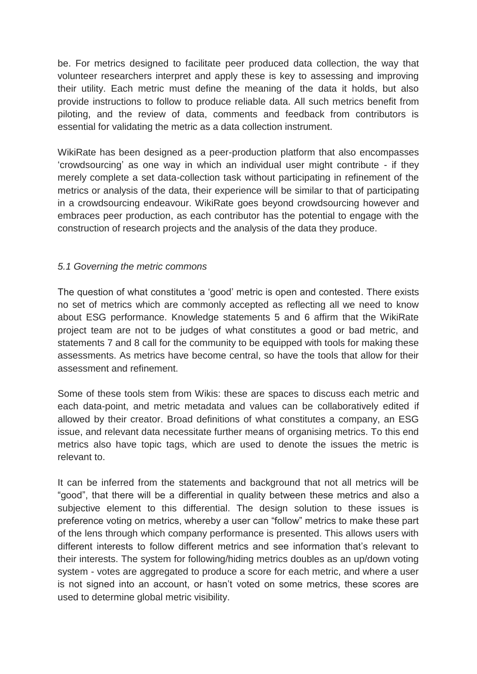be. For metrics designed to facilitate peer produced data collection, the way that volunteer researchers interpret and apply these is key to assessing and improving their utility. Each metric must define the meaning of the data it holds, but also provide instructions to follow to produce reliable data. All such metrics benefit from piloting, and the review of data, comments and feedback from contributors is essential for validating the metric as a data collection instrument.

WikiRate has been designed as a peer-production platform that also encompasses 'crowdsourcing' as one way in which an individual user might contribute - if they merely complete a set data-collection task without participating in refinement of the metrics or analysis of the data, their experience will be similar to that of participating in a crowdsourcing endeavour. WikiRate goes beyond crowdsourcing however and embraces peer production, as each contributor has the potential to engage with the construction of research projects and the analysis of the data they produce.

## *5.1 Governing the metric commons*

The question of what constitutes a 'good' metric is open and contested. There exists no set of metrics which are commonly accepted as reflecting all we need to know about ESG performance. Knowledge statements 5 and 6 affirm that the WikiRate project team are not to be judges of what constitutes a good or bad metric, and statements 7 and 8 call for the community to be equipped with tools for making these assessments. As metrics have become central, so have the tools that allow for their assessment and refinement.

Some of these tools stem from Wikis: these are spaces to discuss each metric and each data-point, and metric metadata and values can be collaboratively edited if allowed by their creator. Broad definitions of what constitutes a company, an ESG issue, and relevant data necessitate further means of organising metrics. To this end metrics also have topic tags, which are used to denote the issues the metric is relevant to.

It can be inferred from the statements and background that not all metrics will be "good", that there will be a differential in quality between these metrics and also a subjective element to this differential. The design solution to these issues is preference voting on metrics, whereby a user can "follow" metrics to make these part of the lens through which company performance is presented. This allows users with different interests to follow different metrics and see information that's relevant to their interests. The system for following/hiding metrics doubles as an up/down voting system - votes are aggregated to produce a score for each metric, and where a user is not signed into an account, or hasn't voted on some metrics, these scores are used to determine global metric visibility.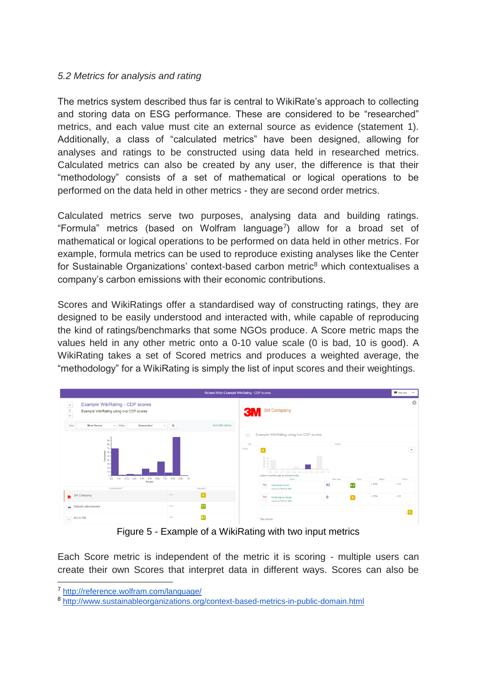## *5.2 Metrics for analysis and rating*

The metrics system described thus far is central to WikiRate's approach to collecting and storing data on ESG performance. These are considered to be "researched" metrics, and each value must cite an external source as evidence (statement 1). Additionally, a class of "calculated metrics" have been designed, allowing for analyses and ratings to be constructed using data held in researched metrics. Calculated metrics can also be created by any user, the difference is that their "methodology" consists of a set of mathematical or logical operations to be performed on the data held in other metrics - they are second order metrics.

Calculated metrics serve two purposes, analysing data and building ratings. "Formula" metrics (based on Wolfram language<sup>7</sup> ) allow for a broad set of mathematical or logical operations to be performed on data held in other metrics. For example, formula metrics can be used to reproduce existing analyses like the Center for Sustainable Organizations' context-based carbon metric<sup>8</sup> which contextualises a company's carbon emissions with their economic contributions.

Scores and WikiRatings offer a standardised way of constructing ratings, they are designed to be easily understood and interacted with, while capable of reproducing the kind of ratings/benchmarks that some NGOs produce. A Score metric maps the values held in any other metric onto a 0-10 value scale (0 is bad, 10 is good). A WikiRating takes a set of Scored metrics and produces a weighted average, the "methodology" for a WikiRating is simply the list of input scores and their weightings.

| Richard Mills+Example WikiRating - CDP scores                                                                                                                        |                                      |                   |                                                                                                                                                                                                                                              |    |                           |               |                     |  |
|----------------------------------------------------------------------------------------------------------------------------------------------------------------------|--------------------------------------|-------------------|----------------------------------------------------------------------------------------------------------------------------------------------------------------------------------------------------------------------------------------------|----|---------------------------|---------------|---------------------|--|
| Example WikiRating - CDP scores<br>$\hat{\phantom{a}}$<br>$\Omega$<br>Example WikiRating using two CDP scores<br>$\checkmark$                                        |                                      |                   | <b>3M Company</b>                                                                                                                                                                                                                            |    |                           |               |                     |  |
| <b>Most Recent</b><br>Researched<br>$-$ Value<br>Year                                                                                                                | $-$ Q<br>more filter options         |                   |                                                                                                                                                                                                                                              |    |                           |               |                     |  |
| $90 -$<br>$80 -$<br>$70 -$<br>$60 -$<br>a so-<br>$40 -$<br>8<br>$30 -$<br>$20 -$<br>$10 -$<br>$0 -$<br>0.9 1.81 2.72 3.63 4.54 5.45 6.36 7.27 8.18 9.09 10<br>Ranges |                                      | ℯ<br>Year<br>2014 | Example WikiRating using two CDP scores<br>Arnwer<br>i 6<br>$380 -$<br>$50 -$<br>$240 -$<br>$4.20 -$<br>0.9 1.81 2.72 3.63 4.54 5.45 6.36 7.27 8.18 9.09 10<br>added 8 months ago by Richard Mills<br>Metric<br>Raw Value<br>Weight<br>Score |    |                           |               | I.<br><b>Points</b> |  |
| Companies <sup>*</sup>                                                                                                                                               | Values ¢                             |                   | Acce<br>Disclosure Score<br>scored by Richard Mils                                                                                                                                                                                           | 82 | $\overline{\mathbf{8.2}}$ | $\times 30\%$ | $= 2.5$             |  |
| 3M Company                                                                                                                                                           | $\overline{\phantom{a}}$<br>$2014 -$ |                   | <b>Asse</b> Performance Score<br>scored by Richard Mils                                                                                                                                                                                      | c  | $\overline{5}$            | $\times 70\%$ | $= 3.5$             |  |
| Ab Abbott Laboratories                                                                                                                                               | 77<br>$2014 -$                       |                   |                                                                                                                                                                                                                                              |    |                           |               |                     |  |
| $-$ Accor SA                                                                                                                                                         | 6.1<br>$2014 -$                      | <b>Discussion</b> |                                                                                                                                                                                                                                              |    |                           |               |                     |  |

Figure 5 - Example of a WikiRating with two input metrics

Each Score metric is independent of the metric it is scoring - multiple users can create their own Scores that interpret data in different ways. Scores can also be

-

<sup>7</sup> <http://reference.wolfram.com/language/>

<sup>8</sup> <http://www.sustainableorganizations.org/context-based-metrics-in-public-domain.html>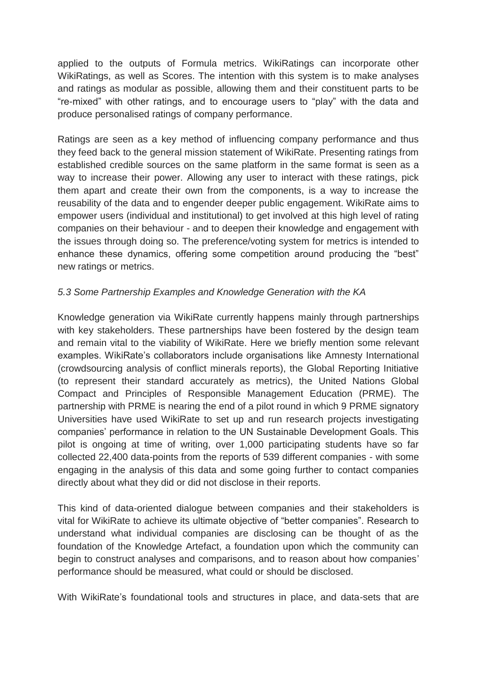applied to the outputs of Formula metrics. WikiRatings can incorporate other WikiRatings, as well as Scores. The intention with this system is to make analyses and ratings as modular as possible, allowing them and their constituent parts to be "re-mixed" with other ratings, and to encourage users to "play" with the data and produce personalised ratings of company performance.

Ratings are seen as a key method of influencing company performance and thus they feed back to the general mission statement of WikiRate. Presenting ratings from established credible sources on the same platform in the same format is seen as a way to increase their power. Allowing any user to interact with these ratings, pick them apart and create their own from the components, is a way to increase the reusability of the data and to engender deeper public engagement. WikiRate aims to empower users (individual and institutional) to get involved at this high level of rating companies on their behaviour - and to deepen their knowledge and engagement with the issues through doing so. The preference/voting system for metrics is intended to enhance these dynamics, offering some competition around producing the "best" new ratings or metrics.

## *5.3 Some Partnership Examples and Knowledge Generation with the KA*

Knowledge generation via WikiRate currently happens mainly through partnerships with key stakeholders. These partnerships have been fostered by the design team and remain vital to the viability of WikiRate. Here we briefly mention some relevant examples. WikiRate's collaborators include organisations like Amnesty International (crowdsourcing analysis of conflict minerals reports), the Global Reporting Initiative (to represent their standard accurately as metrics), the United Nations Global Compact and Principles of Responsible Management Education (PRME). The partnership with PRME is nearing the end of a pilot round in which 9 PRME signatory Universities have used WikiRate to set up and run research projects investigating companies' performance in relation to the UN Sustainable Development Goals. This pilot is ongoing at time of writing, over 1,000 participating students have so far collected 22,400 data-points from the reports of 539 different companies - with some engaging in the analysis of this data and some going further to contact companies directly about what they did or did not disclose in their reports.

This kind of data-oriented dialogue between companies and their stakeholders is vital for WikiRate to achieve its ultimate objective of "better companies". Research to understand what individual companies are disclosing can be thought of as the foundation of the Knowledge Artefact, a foundation upon which the community can begin to construct analyses and comparisons, and to reason about how companies' performance should be measured, what could or should be disclosed.

With WikiRate's foundational tools and structures in place, and data-sets that are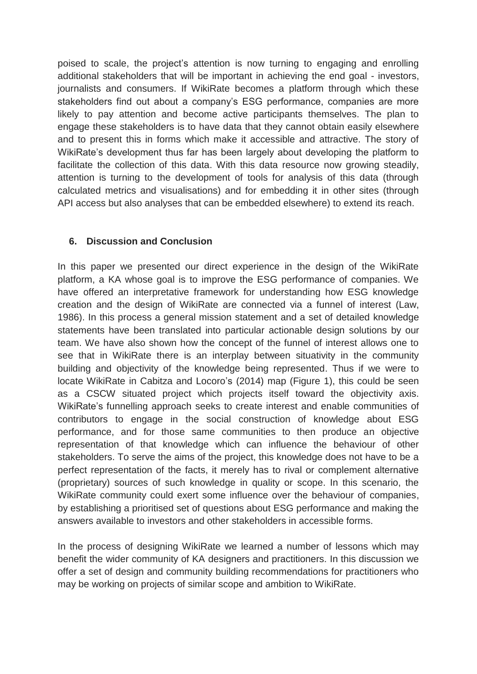poised to scale, the project's attention is now turning to engaging and enrolling additional stakeholders that will be important in achieving the end goal - investors, journalists and consumers. If WikiRate becomes a platform through which these stakeholders find out about a company's ESG performance, companies are more likely to pay attention and become active participants themselves. The plan to engage these stakeholders is to have data that they cannot obtain easily elsewhere and to present this in forms which make it accessible and attractive. The story of WikiRate's development thus far has been largely about developing the platform to facilitate the collection of this data. With this data resource now growing steadily, attention is turning to the development of tools for analysis of this data (through calculated metrics and visualisations) and for embedding it in other sites (through API access but also analyses that can be embedded elsewhere) to extend its reach.

## **6. Discussion and Conclusion**

In this paper we presented our direct experience in the design of the WikiRate platform, a KA whose goal is to improve the ESG performance of companies. We have offered an interpretative framework for understanding how ESG knowledge creation and the design of WikiRate are connected via a funnel of interest (Law, 1986). In this process a general mission statement and a set of detailed knowledge statements have been translated into particular actionable design solutions by our team. We have also shown how the concept of the funnel of interest allows one to see that in WikiRate there is an interplay between situativity in the community building and objectivity of the knowledge being represented. Thus if we were to locate WikiRate in Cabitza and Locoro's (2014) map (Figure 1), this could be seen as a CSCW situated project which projects itself toward the objectivity axis. WikiRate's funnelling approach seeks to create interest and enable communities of contributors to engage in the social construction of knowledge about ESG performance, and for those same communities to then produce an objective representation of that knowledge which can influence the behaviour of other stakeholders. To serve the aims of the project, this knowledge does not have to be a perfect representation of the facts, it merely has to rival or complement alternative (proprietary) sources of such knowledge in quality or scope. In this scenario, the WikiRate community could exert some influence over the behaviour of companies, by establishing a prioritised set of questions about ESG performance and making the answers available to investors and other stakeholders in accessible forms.

In the process of designing WikiRate we learned a number of lessons which may benefit the wider community of KA designers and practitioners. In this discussion we offer a set of design and community building recommendations for practitioners who may be working on projects of similar scope and ambition to WikiRate.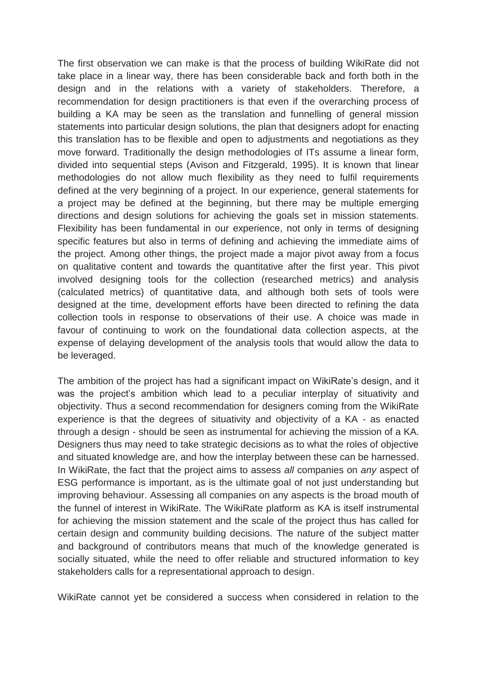The first observation we can make is that the process of building WikiRate did not take place in a linear way, there has been considerable back and forth both in the design and in the relations with a variety of stakeholders. Therefore, a recommendation for design practitioners is that even if the overarching process of building a KA may be seen as the translation and funnelling of general mission statements into particular design solutions, the plan that designers adopt for enacting this translation has to be flexible and open to adjustments and negotiations as they move forward. Traditionally the design methodologies of ITs assume a linear form, divided into sequential steps (Avison and Fitzgerald, 1995). It is known that linear methodologies do not allow much flexibility as they need to fulfil requirements defined at the very beginning of a project. In our experience, general statements for a project may be defined at the beginning, but there may be multiple emerging directions and design solutions for achieving the goals set in mission statements. Flexibility has been fundamental in our experience, not only in terms of designing specific features but also in terms of defining and achieving the immediate aims of the project. Among other things, the project made a major pivot away from a focus on qualitative content and towards the quantitative after the first year. This pivot involved designing tools for the collection (researched metrics) and analysis (calculated metrics) of quantitative data, and although both sets of tools were designed at the time, development efforts have been directed to refining the data collection tools in response to observations of their use. A choice was made in favour of continuing to work on the foundational data collection aspects, at the expense of delaying development of the analysis tools that would allow the data to be leveraged.

The ambition of the project has had a significant impact on WikiRate's design, and it was the project's ambition which lead to a peculiar interplay of situativity and objectivity. Thus a second recommendation for designers coming from the WikiRate experience is that the degrees of situativity and objectivity of a KA - as enacted through a design - should be seen as instrumental for achieving the mission of a KA. Designers thus may need to take strategic decisions as to what the roles of objective and situated knowledge are, and how the interplay between these can be harnessed. In WikiRate, the fact that the project aims to assess *all* companies on *any* aspect of ESG performance is important, as is the ultimate goal of not just understanding but improving behaviour. Assessing all companies on any aspects is the broad mouth of the funnel of interest in WikiRate. The WikiRate platform as KA is itself instrumental for achieving the mission statement and the scale of the project thus has called for certain design and community building decisions. The nature of the subject matter and background of contributors means that much of the knowledge generated is socially situated, while the need to offer reliable and structured information to key stakeholders calls for a representational approach to design.

WikiRate cannot yet be considered a success when considered in relation to the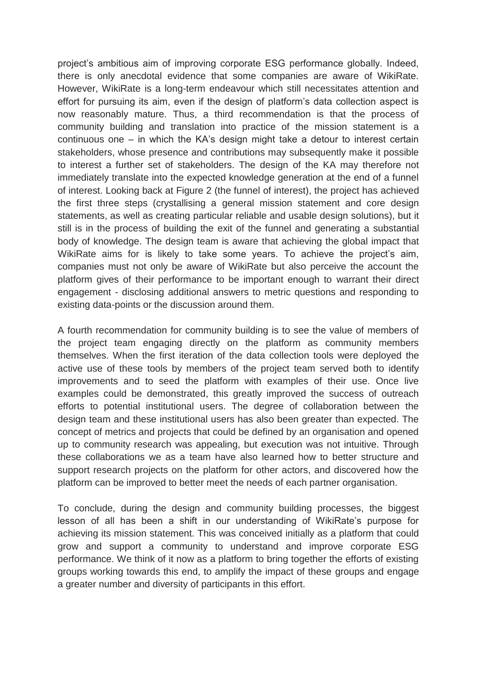project's ambitious aim of improving corporate ESG performance globally. Indeed, there is only anecdotal evidence that some companies are aware of WikiRate. However, WikiRate is a long-term endeavour which still necessitates attention and effort for pursuing its aim, even if the design of platform's data collection aspect is now reasonably mature. Thus, a third recommendation is that the process of community building and translation into practice of the mission statement is a continuous one – in which the KA's design might take a detour to interest certain stakeholders, whose presence and contributions may subsequently make it possible to interest a further set of stakeholders. The design of the KA may therefore not immediately translate into the expected knowledge generation at the end of a funnel of interest. Looking back at Figure 2 (the funnel of interest), the project has achieved the first three steps (crystallising a general mission statement and core design statements, as well as creating particular reliable and usable design solutions), but it still is in the process of building the exit of the funnel and generating a substantial body of knowledge. The design team is aware that achieving the global impact that WikiRate aims for is likely to take some years. To achieve the project's aim, companies must not only be aware of WikiRate but also perceive the account the platform gives of their performance to be important enough to warrant their direct engagement - disclosing additional answers to metric questions and responding to existing data-points or the discussion around them.

A fourth recommendation for community building is to see the value of members of the project team engaging directly on the platform as community members themselves. When the first iteration of the data collection tools were deployed the active use of these tools by members of the project team served both to identify improvements and to seed the platform with examples of their use. Once live examples could be demonstrated, this greatly improved the success of outreach efforts to potential institutional users. The degree of collaboration between the design team and these institutional users has also been greater than expected. The concept of metrics and projects that could be defined by an organisation and opened up to community research was appealing, but execution was not intuitive. Through these collaborations we as a team have also learned how to better structure and support research projects on the platform for other actors, and discovered how the platform can be improved to better meet the needs of each partner organisation.

To conclude, during the design and community building processes, the biggest lesson of all has been a shift in our understanding of WikiRate's purpose for achieving its mission statement. This was conceived initially as a platform that could grow and support a community to understand and improve corporate ESG performance. We think of it now as a platform to bring together the efforts of existing groups working towards this end, to amplify the impact of these groups and engage a greater number and diversity of participants in this effort.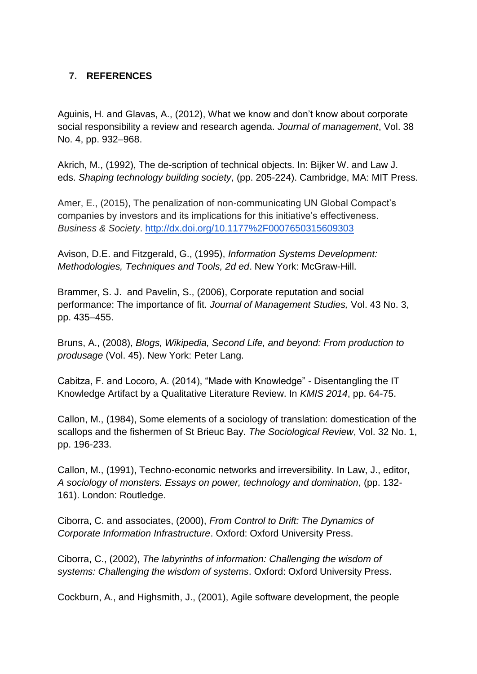## **7. REFERENCES**

Aguinis, H. and Glavas, A., (2012), What we know and don't know about corporate social responsibility a review and research agenda. *Journal of management*, Vol. 38 No. 4, pp. 932–968.

Akrich, M., (1992), The de-scription of technical objects. In: Bijker W. and Law J. eds. *Shaping technology building society*, (pp. 205-224). Cambridge, MA: MIT Press.

Amer, E., (2015), The penalization of non-communicating UN Global Compact's companies by investors and its implications for this initiative's effectiveness. *Business & Society*.<http://dx.doi.org/10.1177%2F0007650315609303>

Avison, D.E. and Fitzgerald, G., (1995), *Information Systems Development: Methodologies, Techniques and Tools, 2d ed*. New York: McGraw-Hill.

Brammer, S. J. and Pavelin, S., (2006), Corporate reputation and social performance: The importance of fit. *Journal of Management Studies,* Vol. 43 No. 3, pp. 435–455.

Bruns, A., (2008), *Blogs, Wikipedia, Second Life, and beyond: From production to produsage* (Vol. 45). New York: Peter Lang.

Cabitza, F. and Locoro, A. (2014), "Made with Knowledge" - Disentangling the IT Knowledge Artifact by a Qualitative Literature Review. In *KMIS 2014*, pp. 64-75.

Callon, M., (1984), Some elements of a sociology of translation: domestication of the scallops and the fishermen of St Brieuc Bay. *The Sociological Review*, Vol. 32 No. 1, pp. 196-233.

Callon, M., (1991), Techno-economic networks and irreversibility. In Law, J., editor, *A sociology of monsters. Essays on power, technology and domination*, (pp. 132- 161). London: Routledge.

Ciborra, C. and associates, (2000), *From Control to Drift: The Dynamics of Corporate Information Infrastructure*. Oxford: Oxford University Press.

Ciborra, C., (2002), *The labyrinths of information: Challenging the wisdom of systems: Challenging the wisdom of systems*. Oxford: Oxford University Press.

Cockburn, A., and Highsmith, J., (2001), Agile software development, the people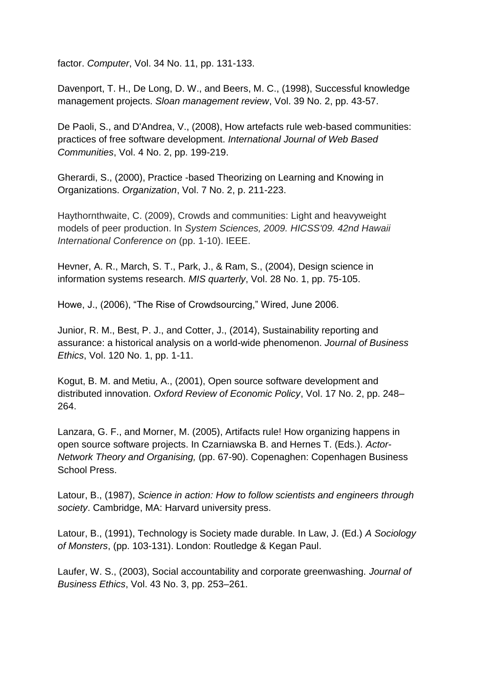factor. *Computer*, Vol. 34 No. 11, pp. 131-133.

Davenport, T. H., De Long, D. W., and Beers, M. C., (1998), Successful knowledge management projects. *Sloan management review*, Vol. 39 No. 2, pp. 43-57.

De Paoli, S., and D'Andrea, V., (2008), How artefacts rule web-based communities: practices of free software development. *International Journal of Web Based Communities*, Vol. 4 No. 2, pp. 199-219.

Gherardi, S., (2000), Practice -based Theorizing on Learning and Knowing in Organizations. *Organization*, Vol. 7 No. 2, p. 211-223.

Haythornthwaite, C. (2009), Crowds and communities: Light and heavyweight models of peer production. In *System Sciences, 2009. HICSS'09. 42nd Hawaii International Conference on* (pp. 1-10). IEEE.

Hevner, A. R., March, S. T., Park, J., & Ram, S., (2004), Design science in information systems research. *MIS quarterly*, Vol. 28 No. 1, pp. 75-105.

Howe, J., (2006), "The Rise of Crowdsourcing," Wired, June 2006.

Junior, R. M., Best, P. J., and Cotter, J., (2014), Sustainability reporting and assurance: a historical analysis on a world-wide phenomenon. *Journal of Business Ethics*, Vol. 120 No. 1, pp. 1-11.

Kogut, B. M. and Metiu, A., (2001), Open source software development and distributed innovation. *Oxford Review of Economic Policy*, Vol. 17 No. 2, pp. 248– 264.

Lanzara, G. F., and Morner, M. (2005), Artifacts rule! How organizing happens in open source software projects. In Czarniawska B. and Hernes T. (Eds.). *Actor-Network Theory and Organising,* (pp. 67-90). Copenaghen: Copenhagen Business School Press.

Latour, B., (1987), *Science in action: How to follow scientists and engineers through society*. Cambridge, MA: Harvard university press.

Latour, B., (1991), Technology is Society made durable. In Law, J. (Ed.) *A Sociology of Monsters*, (pp. 103-131). London: Routledge & Kegan Paul.

Laufer, W. S., (2003), Social accountability and corporate greenwashing. *Journal of Business Ethics*, Vol. 43 No. 3, pp. 253–261.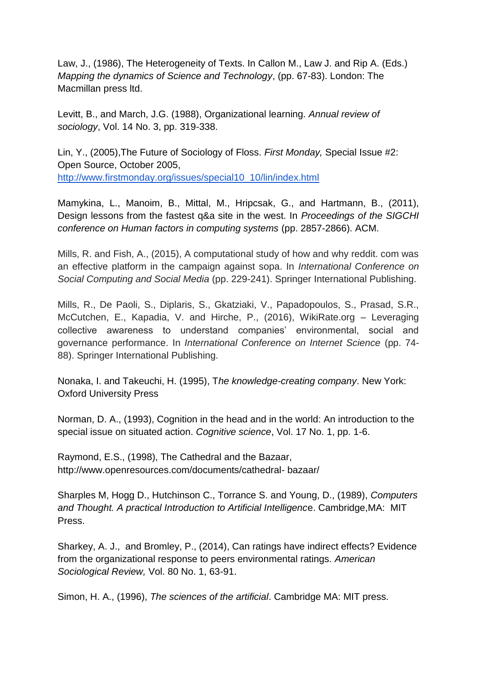Law, J., (1986), The Heterogeneity of Texts. In Callon M., Law J. and Rip A. (Eds.) *Mapping the dynamics of Science and Technology*, (pp. 67-83). London: The Macmillan press ltd.

Levitt, B., and March, J.G. (1988), Organizational learning. *Annual review of sociology*, Vol. 14 No. 3, pp. 319-338.

Lin, Y., (2005),The Future of Sociology of Floss. *First Monday,* Special Issue #2: Open Source, October 2005, [http://www.firstmonday.org/issues/special10\\_10/lin/index.html](http://www.firstmonday.org/issues/special10_10/lin/index.html)

Mamykina, L., Manoim, B., Mittal, M., Hripcsak, G., and Hartmann, B., (2011), Design lessons from the fastest q&a site in the west. In *Proceedings of the SIGCHI conference on Human factors in computing systems* (pp. 2857-2866). ACM.

Mills, R. and Fish, A., (2015), A computational study of how and why reddit. com was an effective platform in the campaign against sopa. In *International Conference on Social Computing and Social Media* (pp. 229-241). Springer International Publishing.

Mills, R., De Paoli, S., Diplaris, S., Gkatziaki, V., Papadopoulos, S., Prasad, S.R., McCutchen, E., Kapadia, V. and Hirche, P., (2016), WikiRate.org – Leveraging collective awareness to understand companies' environmental, social and governance performance. In *International Conference on Internet Science* (pp. 74- 88). Springer International Publishing.

Nonaka, I. and Takeuchi, H. (1995), T*he knowledge-creating company*. New York: Oxford University Press

Norman, D. A., (1993), Cognition in the head and in the world: An introduction to the special issue on situated action. *Cognitive science*, Vol. 17 No. 1, pp. 1-6.

Raymond, E.S., (1998), The Cathedral and the Bazaar, http://www.openresources.com/documents/cathedral- bazaar/

Sharples M, Hogg D., Hutchinson C., Torrance S. and Young, D., (1989), *Computers and Thought. A practical Introduction to Artificial Intelligenc*e. Cambridge,MA: MIT Press.

Sharkey, A. J., and Bromley, P., (2014), Can ratings have indirect effects? Evidence from the organizational response to peers environmental ratings. *American Sociological Review,* Vol. 80 No. 1, 63-91.

Simon, H. A., (1996), *The sciences of the artificial*. Cambridge MA: MIT press.